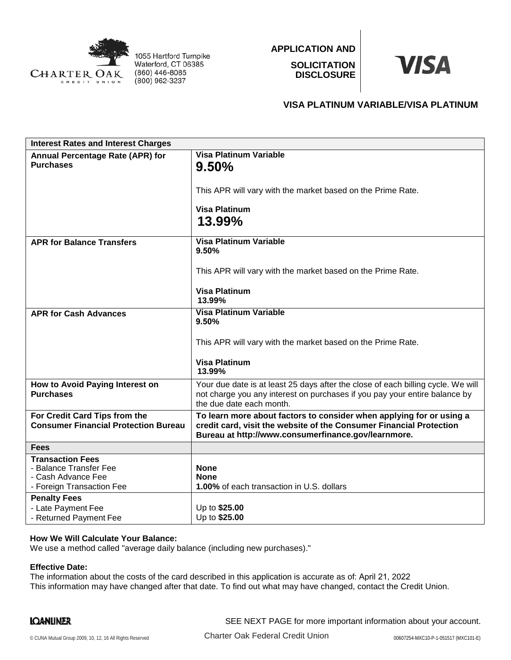

1055 Hartford Turnpike Waterford, CT 06385 (860) 446-8085 (800) 962-3237

**APPLICATION AND SOLICITATION DISCLOSURE**



## **VISA PLATINUM VARIABLE/VISA PLATINUM**

| <b>Interest Rates and Interest Charges</b>                                                           |                                                                                                                                                                                                    |
|------------------------------------------------------------------------------------------------------|----------------------------------------------------------------------------------------------------------------------------------------------------------------------------------------------------|
| Annual Percentage Rate (APR) for<br><b>Purchases</b>                                                 | <b>Visa Platinum Variable</b><br>9.50%                                                                                                                                                             |
|                                                                                                      | This APR will vary with the market based on the Prime Rate.                                                                                                                                        |
|                                                                                                      | <b>Visa Platinum</b><br>13.99%                                                                                                                                                                     |
| <b>APR for Balance Transfers</b>                                                                     | <b>Visa Platinum Variable</b><br>9.50%                                                                                                                                                             |
|                                                                                                      | This APR will vary with the market based on the Prime Rate.                                                                                                                                        |
|                                                                                                      | <b>Visa Platinum</b><br>13.99%                                                                                                                                                                     |
| <b>APR for Cash Advances</b>                                                                         | <b>Visa Platinum Variable</b><br>9.50%                                                                                                                                                             |
|                                                                                                      | This APR will vary with the market based on the Prime Rate.                                                                                                                                        |
|                                                                                                      | <b>Visa Platinum</b><br>13.99%                                                                                                                                                                     |
| How to Avoid Paying Interest on<br><b>Purchases</b>                                                  | Your due date is at least 25 days after the close of each billing cycle. We will<br>not charge you any interest on purchases if you pay your entire balance by<br>the due date each month.         |
| For Credit Card Tips from the<br><b>Consumer Financial Protection Bureau</b>                         | To learn more about factors to consider when applying for or using a<br>credit card, visit the website of the Consumer Financial Protection<br>Bureau at http://www.consumerfinance.gov/learnmore. |
| <b>Fees</b>                                                                                          |                                                                                                                                                                                                    |
| <b>Transaction Fees</b><br>- Balance Transfer Fee<br>- Cash Advance Fee<br>- Foreign Transaction Fee | <b>None</b><br><b>None</b><br><b>1.00%</b> of each transaction in U.S. dollars                                                                                                                     |
| <b>Penalty Fees</b><br>- Late Payment Fee<br>- Returned Payment Fee                                  | Up to \$25.00<br>Up to \$25.00                                                                                                                                                                     |

## **How We Will Calculate Your Balance:**

We use a method called "average daily balance (including new purchases)."

## **Effective Date:**

The information about the costs of the card described in this application is accurate as of: April 21, 2022 This information may have changed after that date. To find out what may have changed, contact the Credit Union.

SEE NEXT PAGE for more important information about your account.

© CUNA Mutual Group 2009, 10, 12, 16 All Rights Reserved **Charter Oak Federal Credit Union** 00607254-MXC10-P-1-051517 (MXC101-E)